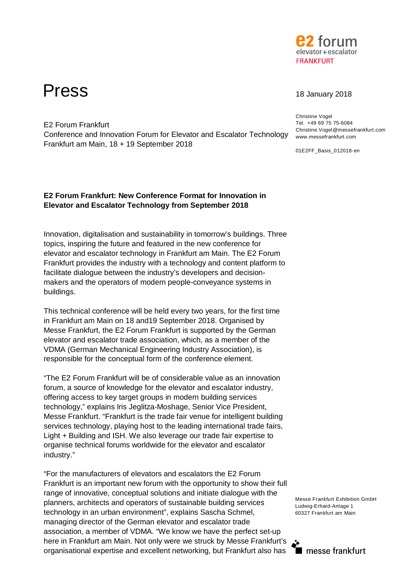

# Press 18 January 2018

E2 Forum Frankfurt

Frankfurt am Main, 18 + 19 September 2018

Christine Vogel Tel. +49 69 75 75-6084 Christine.Vogel@messefrankfurt.com www.messefrankfurt.com

01E2FF\_Basis\_012018-en

# **E2 Forum Frankfurt: New Conference Format for Innovation in Elevator and Escalator Technology from September 2018**

Conference and Innovation Forum for Elevator and Escalator Technology

Innovation, digitalisation and sustainability in tomorrow's buildings. Three topics, inspiring the future and featured in the new conference for elevator and escalator technology in Frankfurt am Main. The E2 Forum Frankfurt provides the industry with a technology and content platform to facilitate dialogue between the industry's developers and decisionmakers and the operators of modern people-conveyance systems in buildings.

This technical conference will be held every two years, for the first time in Frankfurt am Main on 18 and19 September 2018. Organised by Messe Frankfurt, the E2 Forum Frankfurt is supported by the German elevator and escalator trade association, which, as a member of the VDMA (German Mechanical Engineering Industry Association), is responsible for the conceptual form of the conference element.

"The E2 Forum Frankfurt will be of considerable value as an innovation forum, a source of knowledge for the elevator and escalator industry, offering access to key target groups in modern building services technology," explains Iris Jeglitza-Moshage, Senior Vice President, Messe Frankfurt. "Frankfurt is the trade fair venue for intelligent building services technology, playing host to the leading international trade fairs, Light + Building and ISH. We also leverage our trade fair expertise to organise technical forums worldwide for the elevator and escalator industry."

"For the manufacturers of elevators and escalators the E2 Forum Frankfurt is an important new forum with the opportunity to show their full range of innovative, conceptual solutions and initiate dialogue with the planners, architects and operators of sustainable building services technology in an urban environment", explains Sascha Schmel, managing director of the German elevator and escalator trade association, a member of VDMA. "We know we have the perfect set-up here in Frankfurt am Main. Not only were we struck by Messe Frankfurt's organisational expertise and excellent networking, but Frankfurt also has

Messe Frankfurt Exhibition GmbH Ludwig-Erhard-Anlage 1 60327 Frankfurt am Main

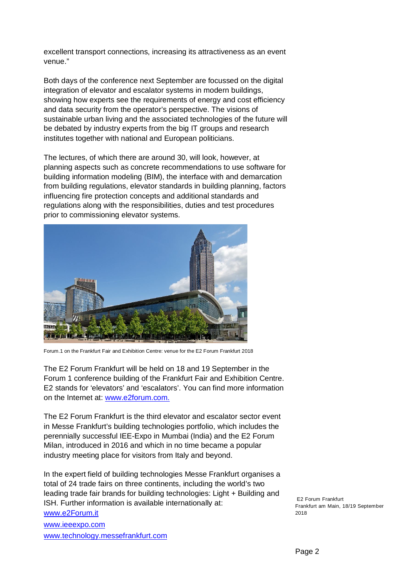excellent transport connections, increasing its attractiveness as an event venue."

Both days of the conference next September are focussed on the digital integration of elevator and escalator systems in modern buildings, showing how experts see the requirements of energy and cost efficiency and data security from the operator's perspective. The visions of sustainable urban living and the associated technologies of the future will be debated by industry experts from the big IT groups and research institutes together with national and European politicians.

The lectures, of which there are around 30, will look, however, at planning aspects such as concrete recommendations to use software for building information modeling (BIM), the interface with and demarcation from building regulations, elevator standards in building planning, factors influencing fire protection concepts and additional standards and regulations along with the responsibilities, duties and test procedures prior to commissioning elevator systems.



Forum.1 on the Frankfurt Fair and Exhibition Centre: venue for the E2 Forum Frankfurt 2018

The E2 Forum Frankfurt will be held on 18 and 19 September in the Forum 1 conference building of the Frankfurt Fair and Exhibition Centre. E2 stands for 'elevators' and 'escalators'. You can find more information on the Internet at: www.e2forum.com.

The E2 Forum Frankfurt is the third elevator and escalator sector event in Messe Frankfurt's building technologies portfolio, which includes the perennially successful IEE-Expo in Mumbai (India) and the E2 Forum Milan, introduced in 2016 and which in no time became a popular industry meeting place for visitors from Italy and beyond.

In the expert field of building technologies Messe Frankfurt organises a total of 24 trade fairs on three continents, including the world's two leading trade fair brands for building technologies: Light + Building and ISH. Further information is available internationally at: www.e2Forum.it www.ieeexpo.com

www.technology.messefrankfurt.com

E2 Forum Frankfurt Frankfurt am Main, 18/19 September 2018